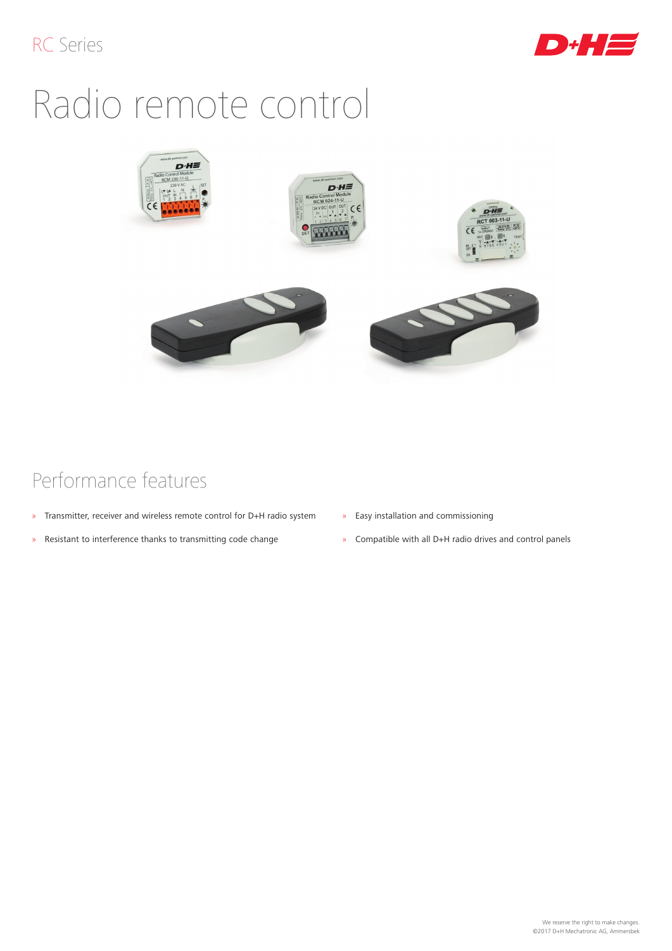

# Radio remote control



## Performance features

- » Transmitter, receiver and wireless remote control for D+H radio system
- » Resistant to interference thanks to transmitting code change
- » Easy installation and commissioning
- » Compatible with all D+H radio drives and control panels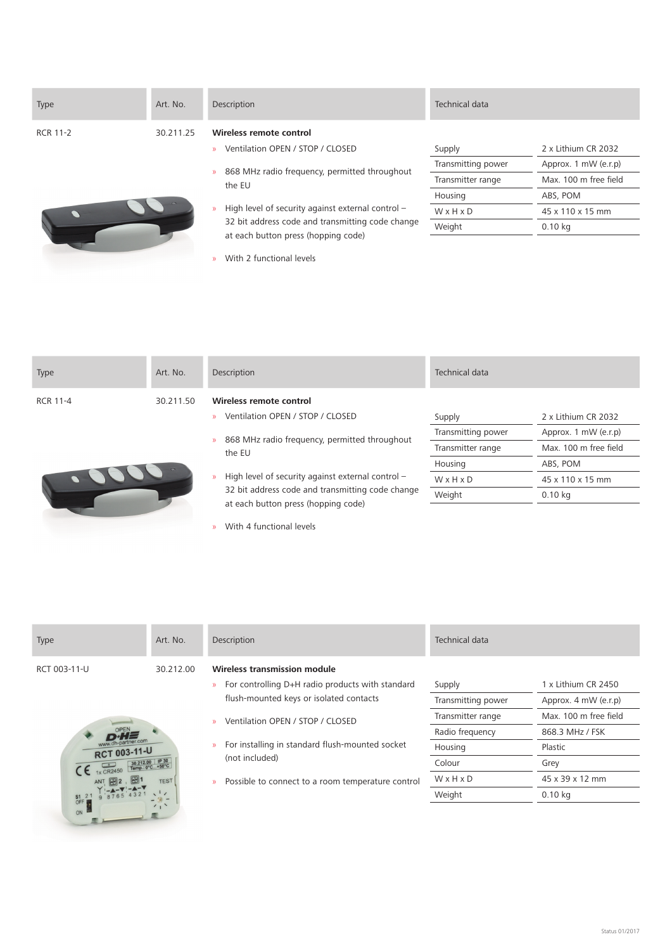| <b>Type</b>     | Art. No.  | Description                                                                                                                                                                                                                                                                                                                                                           | Technical data                                                                  |                                                                                                                   |
|-----------------|-----------|-----------------------------------------------------------------------------------------------------------------------------------------------------------------------------------------------------------------------------------------------------------------------------------------------------------------------------------------------------------------------|---------------------------------------------------------------------------------|-------------------------------------------------------------------------------------------------------------------|
| <b>RCR 11-2</b> | 30.211.25 | Wireless remote control<br>Ventilation OPEN / STOP / CLOSED<br>$\mathcal{D}$<br>868 MHz radio frequency, permitted throughout<br>$\mathcal{D}$<br>the EU<br>High level of security against external control -<br>$\mathcal{D}$<br>32 bit address code and transmitting code change<br>at each button press (hopping code)<br>With 2 functional levels<br>$\mathbf{y}$ | Supply<br>Transmitting power<br>Transmitter range<br>Housing<br>WxHxD<br>Weight | 2 x Lithium CR 2032<br>Approx. 1 mW (e.r.p)<br>Max. 100 m free field<br>ABS, POM<br>45 x 110 x 15 mm<br>$0.10$ kg |

| <b>Type</b>     | Art. No.  | Description                                                                                                                                                   | Technical data     |                       |
|-----------------|-----------|---------------------------------------------------------------------------------------------------------------------------------------------------------------|--------------------|-----------------------|
| <b>RCR 11-4</b> | 30.211.50 | Wireless remote control                                                                                                                                       |                    |                       |
|                 |           | Ventilation OPEN / STOP / CLOSED<br>$\mathbf{y}$                                                                                                              | Supply             | 2 x Lithium CR 2032   |
|                 |           | 868 MHz radio frequency, permitted throughout                                                                                                                 | Transmitting power | Approx. 1 mW (e.r.p)  |
|                 |           | $\mathcal{D}$<br>the EU                                                                                                                                       | Transmitter range  | Max. 100 m free field |
|                 |           |                                                                                                                                                               | Housing            | ABS, POM              |
|                 |           | High level of security against external control -<br>$\mathcal{V}$<br>32 bit address code and transmitting code change<br>at each button press (hopping code) | WxHxD              | 45 x 110 x 15 mm      |
|                 |           |                                                                                                                                                               | Weight             | $0.10$ kg             |
|                 |           |                                                                                                                                                               |                    |                       |

» With 4 functional levels

| Type                                                                                                                                                          | Art. No.    | Description                                                        | Technical data     |                       |
|---------------------------------------------------------------------------------------------------------------------------------------------------------------|-------------|--------------------------------------------------------------------|--------------------|-----------------------|
| RCT 003-11-U                                                                                                                                                  | 30.212.00   | Wireless transmission module                                       |                    |                       |
|                                                                                                                                                               |             | For controlling D+H radio products with standard<br>$\mathcal{D}$  | Supply             | 1 x Lithium CR 2450   |
|                                                                                                                                                               |             | flush-mounted keys or isolated contacts                            | Transmitting power | Approx. 4 mW (e.r.p)  |
| <b>RCT 003-11-U</b>                                                                                                                                           |             | Ventilation OPEN / STOP / CLOSED<br>$\mathbf{y}$                   | Transmitter range  | Max. 100 m free field |
|                                                                                                                                                               |             |                                                                    | Radio frequency    | 868.3 MHz / FSK       |
|                                                                                                                                                               |             | For installing in standard flush-mounted socket<br>$\mathcal{V}$   | Housing            | Plastic               |
| $\begin{array}{c c}\n & 30.212.00 & P30 \\ \hline\n1 \times CR2450 & \text{Tempi: } 0^{\circ} \text{C} + 50^{\circ} \text{C}\n\end{array}$<br>$S1$ 2<br>OFF I |             | (not included)                                                     | Colour             | Grey                  |
|                                                                                                                                                               | <b>TEST</b> | Possible to connect to a room temperature control<br>$\mathcal{V}$ | WxHxD              | 45 x 39 x 12 mm       |
|                                                                                                                                                               |             |                                                                    | Weight             | $0.10$ kg             |
| ON                                                                                                                                                            |             |                                                                    |                    |                       |